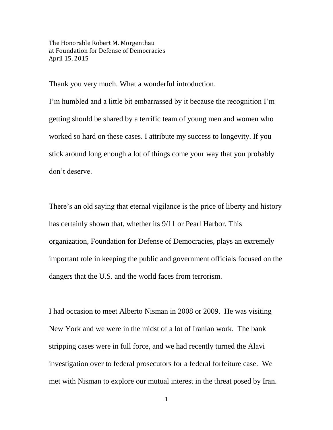The Honorable Robert M. Morgenthau at Foundation for Defense of Democracies April 15, 2015

Thank you very much. What a wonderful introduction.

I'm humbled and a little bit embarrassed by it because the recognition I'm getting should be shared by a terrific team of young men and women who worked so hard on these cases. I attribute my success to longevity. If you stick around long enough a lot of things come your way that you probably don't deserve.

There's an old saying that eternal vigilance is the price of liberty and history has certainly shown that, whether its 9/11 or Pearl Harbor. This organization, Foundation for Defense of Democracies, plays an extremely important role in keeping the public and government officials focused on the dangers that the U.S. and the world faces from terrorism.

I had occasion to meet Alberto Nisman in 2008 or 2009. He was visiting New York and we were in the midst of a lot of Iranian work. The bank stripping cases were in full force, and we had recently turned the Alavi investigation over to federal prosecutors for a federal forfeiture case. We met with Nisman to explore our mutual interest in the threat posed by Iran.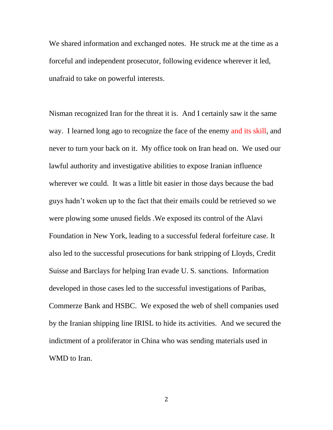We shared information and exchanged notes. He struck me at the time as a forceful and independent prosecutor, following evidence wherever it led, unafraid to take on powerful interests.

Nisman recognized Iran for the threat it is. And I certainly saw it the same way. I learned long ago to recognize the face of the enemy and its skill, and never to turn your back on it. My office took on Iran head on. We used our lawful authority and investigative abilities to expose Iranian influence wherever we could. It was a little bit easier in those days because the bad guys hadn't woken up to the fact that their emails could be retrieved so we were plowing some unused fields .We exposed its control of the Alavi Foundation in New York, leading to a successful federal forfeiture case. It also led to the successful prosecutions for bank stripping of Lloyds, Credit Suisse and Barclays for helping Iran evade U. S. sanctions. Information developed in those cases led to the successful investigations of Paribas, Commerze Bank and HSBC. We exposed the web of shell companies used by the Iranian shipping line IRISL to hide its activities. And we secured the indictment of a proliferator in China who was sending materials used in WMD to Iran.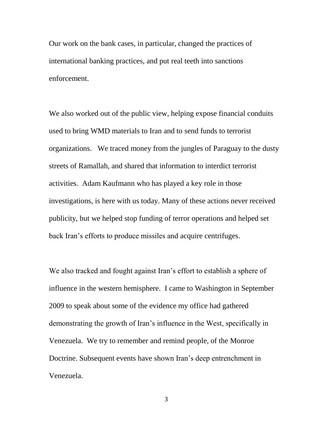Our work on the bank cases, in particular, changed the practices of international banking practices, and put real teeth into sanctions enforcement.

We also worked out of the public view, helping expose financial conduits used to bring WMD materials to Iran and to send funds to terrorist organizations. We traced money from the jungles of Paraguay to the dusty streets of Ramallah, and shared that information to interdict terrorist activities. Adam Kaufmann who has played a key role in those investigations, is here with us today. Many of these actions never received publicity, but we helped stop funding of terror operations and helped set back Iran's efforts to produce missiles and acquire centrifuges.

We also tracked and fought against Iran's effort to establish a sphere of influence in the western hemisphere. I came to Washington in September 2009 to speak about some of the evidence my office had gathered demonstrating the growth of Iran's influence in the West, specifically in Venezuela. We try to remember and remind people, of the Monroe Doctrine. Subsequent events have shown Iran's deep entrenchment in Venezuela.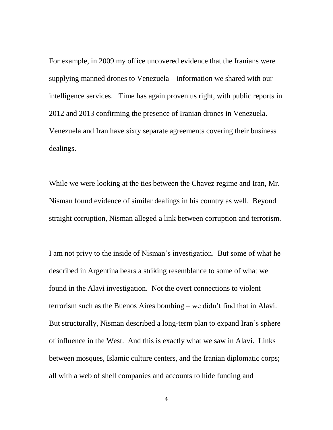For example, in 2009 my office uncovered evidence that the Iranians were supplying manned drones to Venezuela – information we shared with our intelligence services. Time has again proven us right, with public reports in 2012 and 2013 confirming the presence of Iranian drones in Venezuela. Venezuela and Iran have sixty separate agreements covering their business dealings.

While we were looking at the ties between the Chavez regime and Iran, Mr. Nisman found evidence of similar dealings in his country as well. Beyond straight corruption, Nisman alleged a link between corruption and terrorism.

I am not privy to the inside of Nisman's investigation. But some of what he described in Argentina bears a striking resemblance to some of what we found in the Alavi investigation. Not the overt connections to violent terrorism such as the Buenos Aires bombing – we didn't find that in Alavi. But structurally, Nisman described a long-term plan to expand Iran's sphere of influence in the West. And this is exactly what we saw in Alavi. Links between mosques, Islamic culture centers, and the Iranian diplomatic corps; all with a web of shell companies and accounts to hide funding and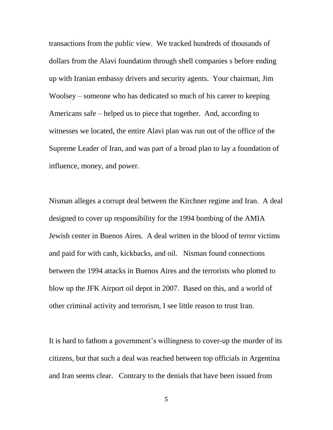transactions from the public view. We tracked hundreds of thousands of dollars from the Alavi foundation through shell companies s before ending up with Iranian embassy drivers and security agents. Your chairman, Jim Woolsey – someone who has dedicated so much of his career to keeping Americans safe – helped us to piece that together. And, according to witnesses we located, the entire Alavi plan was run out of the office of the Supreme Leader of Iran, and was part of a broad plan to lay a foundation of influence, money, and power.

Nisman alleges a corrupt deal between the Kirchner regime and Iran. A deal designed to cover up responsibility for the 1994 bombing of the AMIA Jewish center in Buenos Aires. A deal written in the blood of terror victims and paid for with cash, kickbacks, and oil. Nisman found connections between the 1994 attacks in Buenos Aires and the terrorists who plotted to blow up the JFK Airport oil depot in 2007. Based on this, and a world of other criminal activity and terrorism, I see little reason to trust Iran.

It is hard to fathom a government's willingness to cover-up the murder of its citizens, but that such a deal was reached between top officials in Argentina and Iran seems clear. Contrary to the denials that have been issued from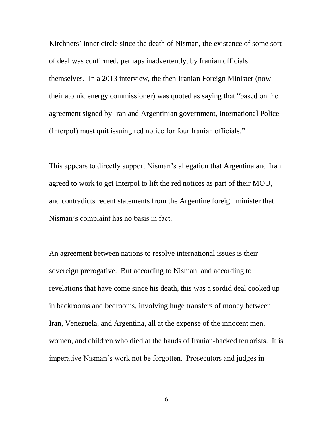Kirchners' inner circle since the death of Nisman, the existence of some sort of deal was confirmed, perhaps inadvertently, by Iranian officials themselves. In a 2013 interview, the then-Iranian Foreign Minister (now their atomic energy commissioner) was quoted as saying that "based on the agreement signed by Iran and Argentinian government, International Police (Interpol) must quit issuing red notice for four Iranian officials."

This appears to directly support Nisman's allegation that Argentina and Iran agreed to work to get Interpol to lift the red notices as part of their MOU, and contradicts recent statements from the Argentine foreign minister that Nisman's complaint has no basis in fact.

An agreement between nations to resolve international issues is their sovereign prerogative. But according to Nisman, and according to revelations that have come since his death, this was a sordid deal cooked up in backrooms and bedrooms, involving huge transfers of money between Iran, Venezuela, and Argentina, all at the expense of the innocent men, women, and children who died at the hands of Iranian-backed terrorists. It is imperative Nisman's work not be forgotten. Prosecutors and judges in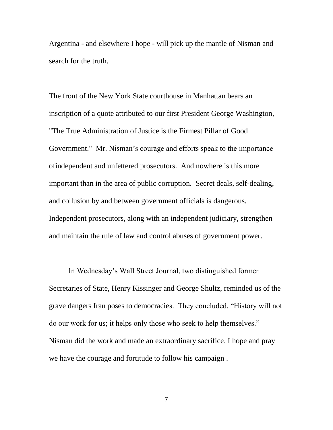Argentina - and elsewhere I hope - will pick up the mantle of Nisman and search for the truth.

The front of the New York State courthouse in Manhattan bears an inscription of a quote attributed to our first President George Washington, "The True Administration of Justice is the Firmest Pillar of Good Government." Mr. Nisman's courage and efforts speak to the importance ofindependent and unfettered prosecutors. And nowhere is this more important than in the area of public corruption. Secret deals, self-dealing, and collusion by and between government officials is dangerous. Independent prosecutors, along with an independent judiciary, strengthen and maintain the rule of law and control abuses of government power.

In Wednesday's Wall Street Journal, two distinguished former Secretaries of State, Henry Kissinger and George Shultz, reminded us of the grave dangers Iran poses to democracies. They concluded, "History will not do our work for us; it helps only those who seek to help themselves." Nisman did the work and made an extraordinary sacrifice. I hope and pray we have the courage and fortitude to follow his campaign .